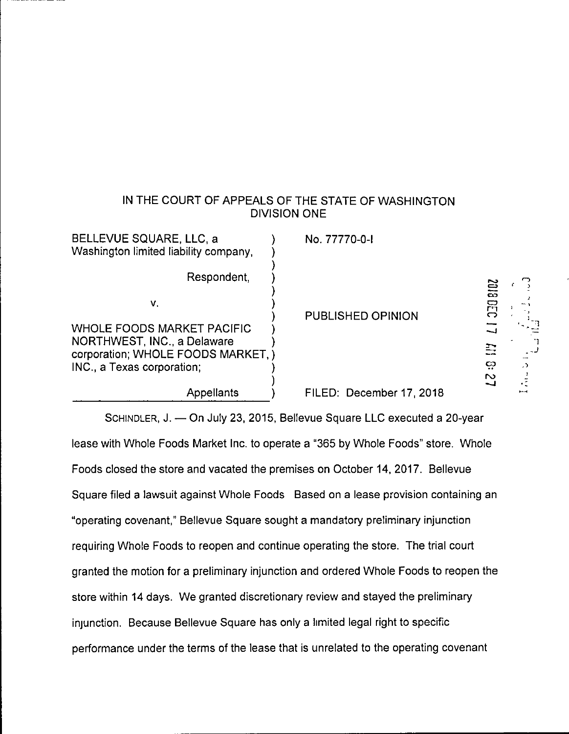# IN THE COURT OF APPEALS OF THE STATE OF WASHINGTON DIVISION ONE

 $\frac{c_1}{2018050}$  17

\_  $\frac{1}{2}$ 

 $\overline{\mathbf{P}}$ 

| BELLEVUE SQUARE, LLC, a<br>Washington limited liability company,                                       | No. 77770-0-1            |                        |
|--------------------------------------------------------------------------------------------------------|--------------------------|------------------------|
| Respondent,                                                                                            |                          | <b>B102</b>            |
| V.                                                                                                     | PUBLISHED OPINION        | 叧<br>౧                 |
| <b>WHOLE FOODS MARKET PACIFIC</b><br>NORTHWEST, INC., a Delaware<br>corporation; WHOLE FOODS MARKET, ) |                          | لسما<br>₩              |
| INC., a Texas corporation;                                                                             |                          | ದ<br>$\cdot$<br>$\sim$ |
| Appellants                                                                                             | FILED: December 17, 2018 |                        |

SCHINDLER, J. — On July 23, 2015, Bellevue Square LLC executed a 20-year lease with Whole Foods Market Inc. to operate a "365 by Whole Foods" store. Whole Foods closed the store and vacated the premises on October 14, 2017. Bellevue Square filed a lawsuit against Whole Foods Based on a lease provision containing an "operating covenant," Bellevue Square sought a mandatory preliminary injunction requiring Whole Foods to reopen and continue operating the store. The trial court granted the motion for a preliminary injunction and ordered Whole Foods to reopen the store within 14 days. We granted discretionary review and stayed the preliminary injunction. Because Bellevue Square has only a limited legal right to specific performance under the terms of the lease that is unrelated to the operating covenant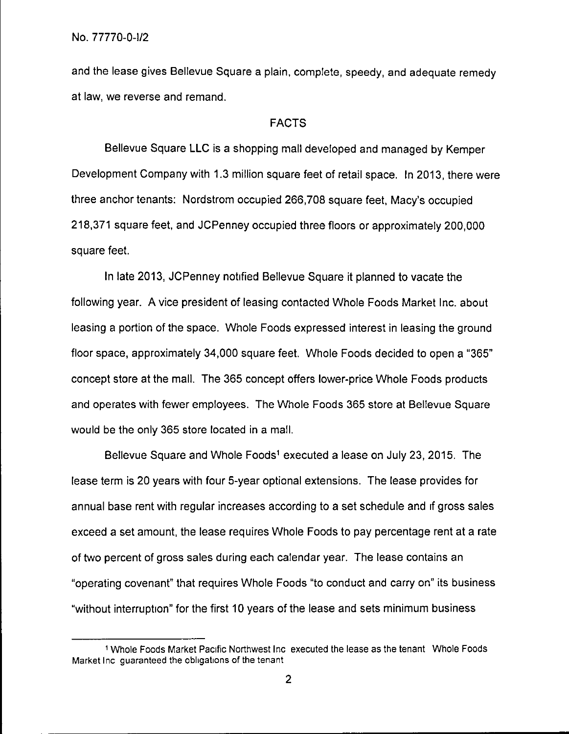and the lease gives Bellevue Square a plain, complete, speedy, and adequate remedy at law, we reverse and remand.

# FACTS

Bellevue Square LLC is a shopping mall developed and managed by Kemper Development Company with 1.3 million square feet of retail space. In 2013, there were three anchor tenants: Nordstrom occupied 266,708 square feet, Macy's occupied 218,371 square feet, and JCPenney occupied three floors or approximately 200,000 square feet.

In late 2013, JCPenney notified Bellevue Square it planned to vacate the following year. A vice president of leasing contacted Whole Foods Market Inc. about leasing a portion of the space. Whole Foods expressed interest in leasing the ground floor space, approximately 34,000 square feet. Whole Foods decided to open a "365" concept store at the mall. The 365 concept offers lower-price Whole Foods products and operates with fewer employees. The Whole Foods 365 store at Bellevue Square would be the only 365 store located in a mall.

Bellevue Square and Whole Foods<sup>1</sup> executed a lease on July 23, 2015. The lease term is 20 years with four 5-year optional extensions. The lease provides for annual base rent with regular increases according to a set schedule and if gross sales exceed a set amount, the lease requires Whole Foods to pay percentage rent at a rate of two percent of gross sales during each calendar year. The lease contains an "operating covenant" that requires Whole Foods "to conduct and carry on" its business "without interruption" for the first 10 years of the lease and sets minimum business

<sup>1</sup> Whole Foods Market Pacific Northwest Inc executed the lease as the tenant Whole Foods Market Inc guaranteed the obligations of the tenant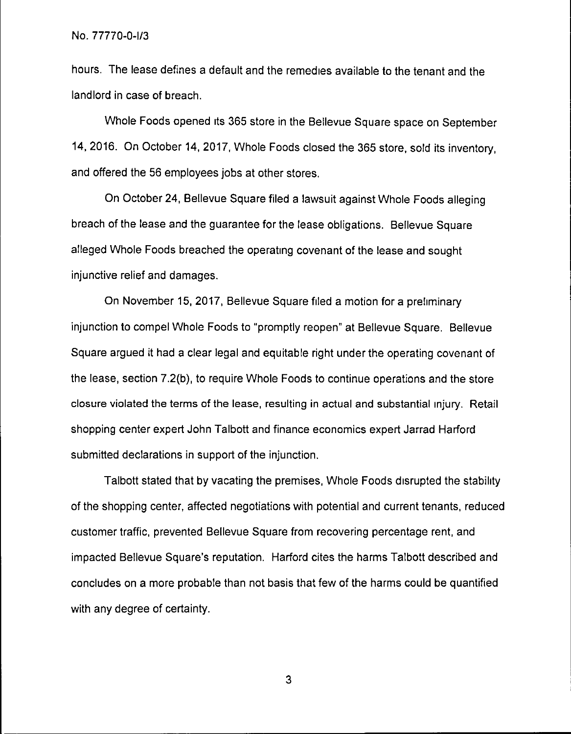hours. The lease defines a default and the remedies available to the tenant and the landlord in case of breach.

Whole Foods opened its 365 store in the Bellevue Square space on September 14, 2016. On October 14, 2017, Whole Foods closed the 365 store, sold its inventory, and offered the 56 employees jobs at other stores.

On October 24, Bellevue Square filed a lawsuit against Whole Foods alleging breach of the lease and the guarantee for the lease obligations. Bellevue Square alleged Whole Foods breached the operating covenant of the lease and sought injunctive relief and damages.

On November 15, 2017, Bellevue Square filed a motion for a preliminary injunction to compel Whole Foods to "promptly reopen" at Bellevue Square. Bellevue Square argued it had a clear legal and equitable right under the operating covenant of the lease, section 7.2(b), to require Whole Foods to continue operations and the store closure violated the terms of the lease, resulting in actual and substantial injury. Retail shopping center expert John Talbott and finance economics expert Jarrad Harford submitted declarations in support of the injunction.

Talbott stated that by vacating the premises, Whole Foods disrupted the stability of the shopping center, affected negotiations with potential and current tenants, reduced customer traffic, prevented Bellevue Square from recovering percentage rent, and impacted Bellevue Square's reputation. Harford cites the harms Talbott described and concludes on a more probable than not basis that few of the harms could be quantified with any degree of certainty.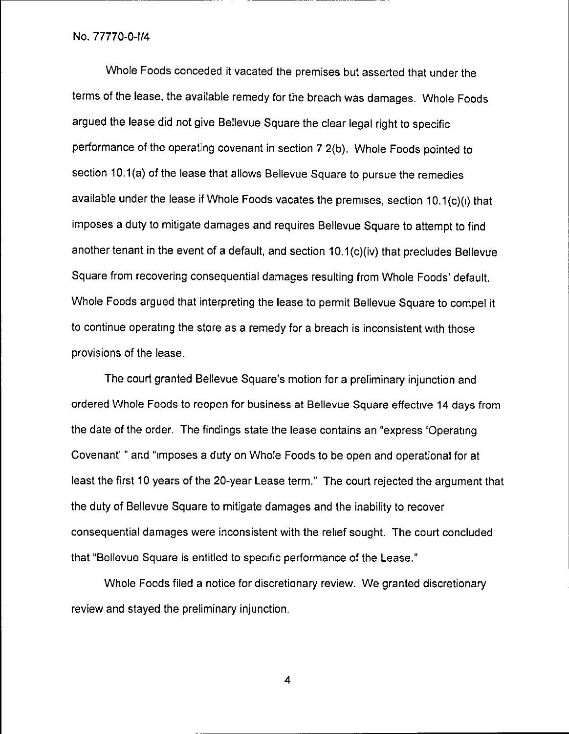Whole Foods conceded it vacated the premises but asserted that under the terms of the lease, the available remedy for the breach was damages. Whole Foods argued the lease did not give Bellevue Square the clear legal right to specific performance of the operating covenant in section 7 2(b). Whole Foods pointed to section 10.1(a) of the lease that allows Bellevue Square to pursue the remedies available under the lease if Whole Foods vacates the premises, section 10.1(c)(1) that imposes a duty to mitigate damages and requires Bellevue Square to attempt to find another tenant in the event of a default, and section 10.1(c)(iv) that precludes Bellevue Square from recovering consequential damages resulting from Whole Foods' default. Whole Foods argued that interpreting the lease to permit Bellevue Square to compel it to continue operating the store as a remedy for a breach is inconsistent with those provisions of the lease.

The court granted Bellevue Square's motion for a preliminary injunction and ordered Whole Foods to reopen for business at Bellevue Square effective 14 days from the date of the order. The findings state the lease contains an "express 'Operating Covenant' "and "imposes a duty on Whole Foods to be open and operational for at least the first 10 years of the 20-year Lease term." The court rejected the argument that the duty of Bellevue Square to mitigate damages and the inability to recover consequential damages were inconsistent with the relief sought. The court concluded that "Bellevue Square is entitled to specific performance of the Lease."

Whole Foods filed a notice for discretionary review. We granted discretionary review and stayed the preliminary injunction.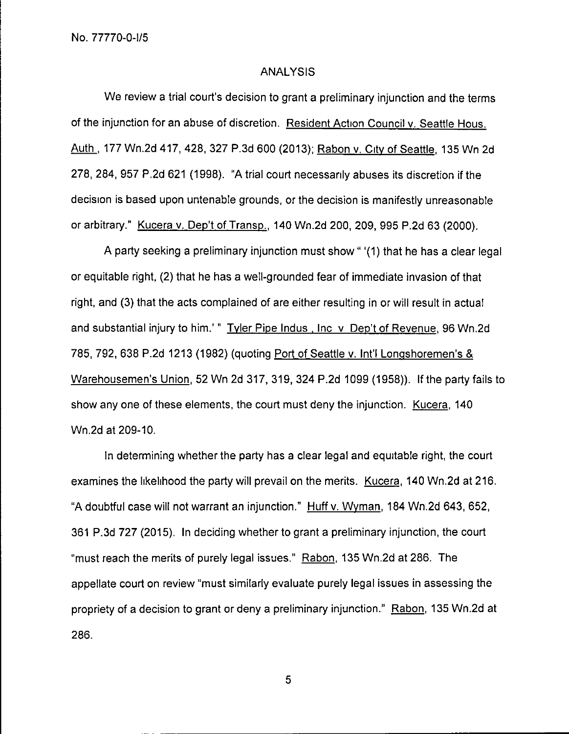#### ANALYSIS

We review a trial court's decision to grant a preliminary injunction and the terms of the injunction for an abuse of discretion. Resident Action Council v. Seattle Hous. Auth , 177 Wn.2d 417, 428, 327 P.3d 600 (2013); Rabon v. City of Seattle 135 Wn 2d 278, 284, 957 P.2d 621 (1998). "A trial court necessarily abuses its discretion if the decision is based upon untenable grounds, or the decision is manifestly unreasonable or arbitrary." Kucera v. Dep't of Transp. 140 Wn.2d 200, 209, 995 P.2d 63 (2000).

A party seeking a preliminary injunction must show" '(1) that he has a clear legal or equitable right, (2) that he has a well-grounded fear of immediate invasion of that right, and (3) that the acts complained of are either resulting in or will result in actual and substantial injury to him.' " Tyler Pipe Indus, Inc v Dep't of Revenue, 96 Wn.2d 785, 792, 638 P.2d 1213 (1982) (quoting Port of Seattle v. Intl Longshoremen's & Warehousemen's Union 52 Wn 2d 317, 319, 324 P.2d 1099 (1958)). If the party fails to show any one of these elements, the court must deny the injunction. Kucera, 140 Wn.2d at 209-10.

In determining whether the party has a clear legal and equitable right, the court examines the likelihood the party will prevail on the merits. Kucera, 140 Wn.2d at 216. "A doubtful case will not warrant an injunction." Huff v. Wyman, 184 Wn.2d 643, 652, 361 P.3d 727 (2015). In deciding whether to grant a preliminary injunction, the court "must reach the merits of purely legal issues." Rabon, 135 Wn.2d at 286. The appellate court on review "must similarly evaluate purely legal issues in assessing the propriety of a decision to grant or deny a preliminary injunction." Rabon, 135 Wn.2d at 286.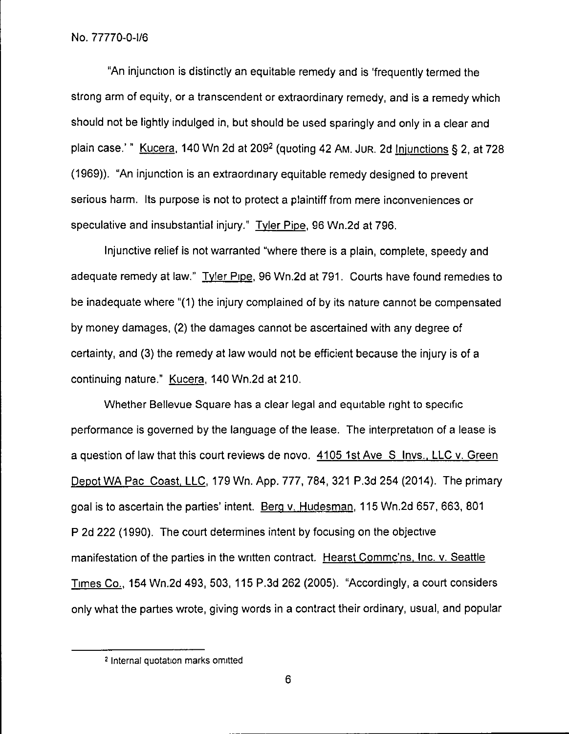"An injunction is distinctly an equitable remedy and is 'frequently termed the strong arm of equity, or a transcendent or extraordinary remedy, and is a remedy which should not be lightly indulged in, but should be used sparingly and only in a clear and plain case.'" Kucera, 140 Wn 2d at 209 $2$  (quoting 42 Am. Jur. 2d Injunctions § 2, at 728 (1969)). "An injunction is an extraordinary equitable remedy designed to prevent serious harm. Its purpose is not to protect a plaintiff from mere inconveniences or speculative and insubstantial injury." Tyler Pipe, 96 Wn.2d at 796.

Injunctive relief is not warranted "where there is a plain, complete, speedy and adequate remedy at law." Tyler Pipe,96 Wn.2d at 791. Courts have found remedies to be inadequate where "(1) the injury complained of by its nature cannot be compensated by money damages, (2) the damages cannot be ascertained with any degree of certainty, and (3) the remedy at law would not be efficient because the injury is of a continuing nature." Kucera, 140 Wn.2d at 210.

Whether Bellevue Square has a clear legal and equitable right to specific performance is governed by the language of the lease. The interpretation of a lease is a question of law that this court reviews de novo. 4105 1st Ave S Invs., LLC v. Green Depot WA Pac Coast, LLC, 179 Wn. App. 777, 784, 321 P.3d 254 (2014). The primary goal is to ascertain the parties' intent. Berg v. Hudesman, 115 Wn.2d 657, 663, 801 P 2d 222 (1990). The court determines intent by focusing on the objective manifestation of the parties in the written contract. Hearst Commc'ns, Inc. v. Seattle Times Co., 154 Wn.2d 493, 503, 115 P.3d 262 (2005). "Accordingly, a court considers only what the parties wrote, giving words in a contract their ordinary, usual, and popular

<sup>2</sup> Internal quotation marks omitted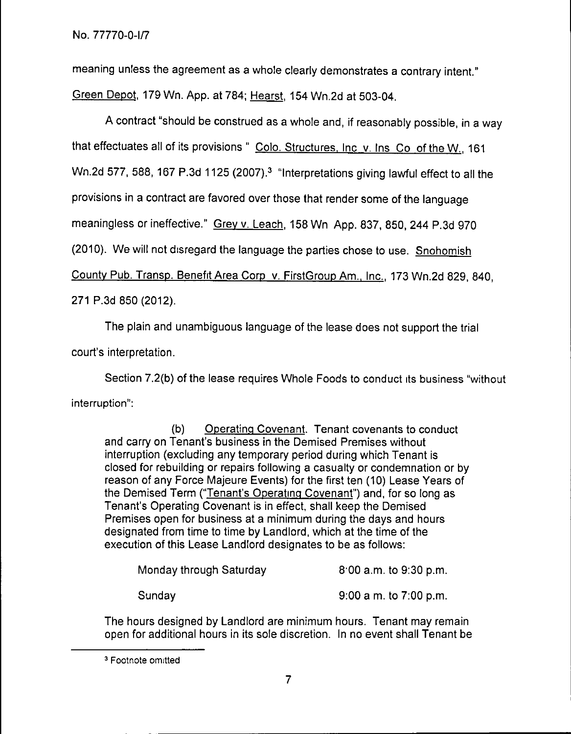meaning unless the agreement as a whole clearly demonstrates a contrary intent." Green Depot, 179 Wn. App. at 784; Hearst, 154 Wn.2d at 503-04.

A contract "should be construed as a whole and, if reasonably possible, in a way that effectuates all of its provisions" Colo. Structures, Inc v. Ins Co of the W. 161 Wn.2d 577, 588, 167 P.3d 1125 (2007).<sup>3</sup> "Interpretations giving lawful effect to all the provisions in a contract are favored over those that render some of the language meaningless or ineffective." Grey v. Leach, 158 Wn App. 837, 850, 244 P.3d 970 (2010). We will not disregard the language the parties chose to use. Snohomish County Pub. Transp. Benefit Area Corp v. FirstGroup Am., Inc., 173 Wn.2d 829, 840, 271 P.3d 850 (2012).

The plain and unambiguous language of the lease does not support the trial court's interpretation.

Section 7.2(b) of the lease requires Whole Foods to conduct its business "without interruption":

(b) Operating Covenant. Tenant covenants to conduct and carry on Tenant's business in the Demised Premises without interruption (excluding any temporary period during which Tenant is closed for rebuilding or repairs following a casualty or condemnation or by reason of any Force Majeure Events) for the first ten (10) Lease Years of the Demised Term ("Tenant's Operating Covenant")and, for so long as Tenant's Operating Covenant is in effect, shall keep the Demised Premises open for business at a minimum during the days and hours designated from time to time by Landlord, which at the time of the execution of this Lease Landlord designates to be as follows:

| Monday through Saturday | $8.00$ a.m. to $9.30$ p.m. |
|-------------------------|----------------------------|
| Sunday                  | $9:00$ a m. to 7:00 p.m.   |

The hours designed by Landlord are minimum hours. Tenant may remain open for additional hours in its sole discretion. In no event shall Tenant be

<sup>&</sup>lt;sup>3</sup> Footnote omitted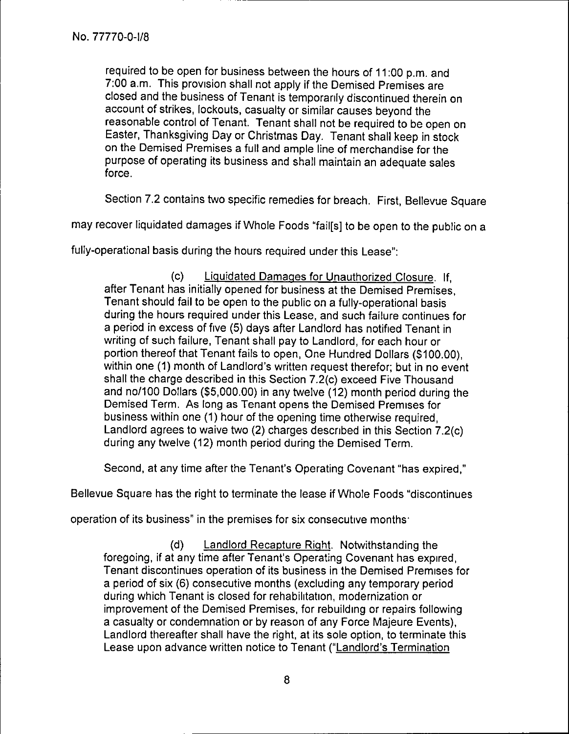required to be open for business between the hours of 11:00 p.m. and 7:00 a.m. This provision shall not apply if the Demised Premises are closed and the business of Tenant is temporarily discontinued therein on account of strikes, lockouts, casualty or similar causes beyond the reasonable control of Tenant. Tenant shall not be required to be open on Easter, Thanksgiving Day or Christmas Day. Tenant shall keep in stock on the Demised Premises a full and ample line of merchandise for the purpose of operating its business and shall maintain an adequate sales force.

Section 7.2 contains two specific remedies for breach. First, Bellevue Square

may recover liquidated damages if Whole Foods "fail[s] to be open to the public on a

fully-operational basis during the hours required under this Lease":

(c) Liquidated Damages for Unauthorized Closure. If, after Tenant has initially opened for business at the Demised Premises, Tenant should fail to be open to the public on a fully-operational basis during the hours required under this Lease, and such failure continues for a period in excess of five (5) days after Landlord has notified Tenant in writing of such failure, Tenant shall pay to Landlord, for each hour or portion thereof that Tenant fails to open, One Hundred Dollars (\$100.00), within one (1) month of Landlord's written request therefor; but in no event shall the charge described in this Section 7.2(c) exceed Five Thousand and no/100 Dollars (\$5,000.00) in any twelve (12) month period during the Demised Term. As long as Tenant opens the Demised Premises for business within one (1) hour of the opening time otherwise required, Landlord agrees to waive two (2) charges described in this Section 7.2(c) during any twelve (12) month period during the Demised Term.

Second, at any time after the Tenant's Operating Covenant "has expired,"

Bellevue Square has the right to terminate the lease if Whole Foods "discontinues

operation of its business" in the premises for six consecutive months.

(d) Landlord Recapture Right. Notwithstanding the foregoing, if at any time after Tenant's Operating Covenant has expired, Tenant discontinues operation of its business in the Demised Premises for a period of six (6) consecutive months (excluding any temporary period during which Tenant is closed for rehabilitation, modernization or improvement of the Demised Premises, for rebuilding or repairs following a casualty or condemnation or by reason of any Force Majeure Events), Landlord thereafter shall have the right, at its sole option, to terminate this Lease upon advance written notice to Tenant ("Landlord's Termination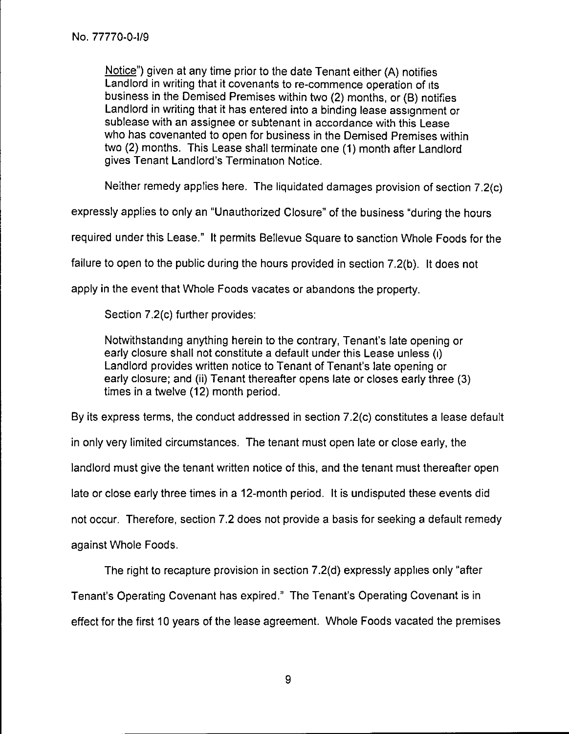Notice") given at any time prior to the date Tenant either (A) notifies Landlord in writing that it covenants to re-commence operation of its business in the Demised Premises within two (2) months, or (B) notifies Landlord in writing that it has entered into a binding lease assignment or sublease with an assignee or subtenant in accordance with this Lease who has covenanted to open for business in the Demised Premises within two (2) months. This Lease shall terminate one (1) month after Landlord gives Tenant Landlord's Termination Notice.

Neither remedy applies here. The liquidated damages provision of section 7.2(c)

expressly applies to only an "Unauthorized Closure" of the business "during the hours

required under this Lease." It permits Bellevue Square to sanction Whole Foods for the

failure to open to the public during the hours provided in section 7.2(b). It does not

apply in the event that Whole Foods vacates or abandons the property.

Section 7.2(c) further provides:

Notwithstanding anything herein to the contrary, Tenant's late opening or early closure shall not constitute a default under this Lease unless (i) Landlord provides written notice to Tenant of Tenant's late opening or early closure; and (ii) Tenant thereafter opens late or closes early three (3) times in a twelve (12) month period.

By its express terms, the conduct addressed in section 7.2(c) constitutes a lease default

in only very limited circumstances. The tenant must open late or close early, the

landlord must give the tenant written notice of this, and the tenant must thereafter open

late or close early three times in a 12-month period. It is undisputed these events did

not occur. Therefore, section 7.2 does not provide a basis for seeking a default remedy

against Whole Foods.

The right to recapture provision in section 7.2(d) expressly applies only "after

Tenant's Operating Covenant has expired." The Tenant's Operating Covenant is in

effect for the first 10 years of the lease agreement. Whole Foods vacated the premises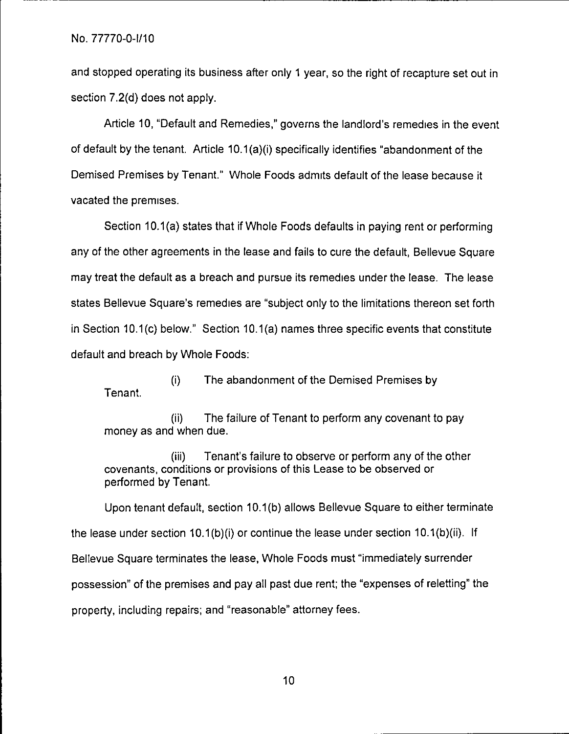and stopped operating its business after only 1 year, so the right of recapture set out in section 7.2(d) does not apply.

Article 10, "Default and Remedies," governs the landlord's remedies in the event of default by the tenant. Article 10.1(a)(i) specifically identifies "abandonment of the Demised Premises by Tenant." Whole Foods admits default of the lease because it vacated the premises.

Section 10.1(a) states that if Whole Foods defaults in paying rent or performing any of the other agreements in the lease and fails to cure the default, Bellevue Square may treat the default as a breach and pursue its remedies under the lease. The lease states Bellevue Square's remedies are "subject only to the limitations thereon set forth in Section 10.1(c) below." Section 10.1(a) names three specific events that constitute default and breach by Whole Foods:

(i) The abandonment of the Demised Premises by Tenant.

(ii) The failure of Tenant to perform any covenant to pay money as and when due.

(iii) Tenant's failure to observe or perform any of the other covenants, conditions or provisions of this Lease to be observed or performed by Tenant.

Upon tenant default, section 10.1(b) allows Bellevue Square to either terminate the lease under section 10.1(b)(i) or continue the lease under section 10.1(b)(ii). If Bellevue Square terminates the lease, Whole Foods must "immediately surrender possession" of the premises and pay all past due rent; the "expenses of reletting" the property, including repairs; and "reasonable" attorney fees.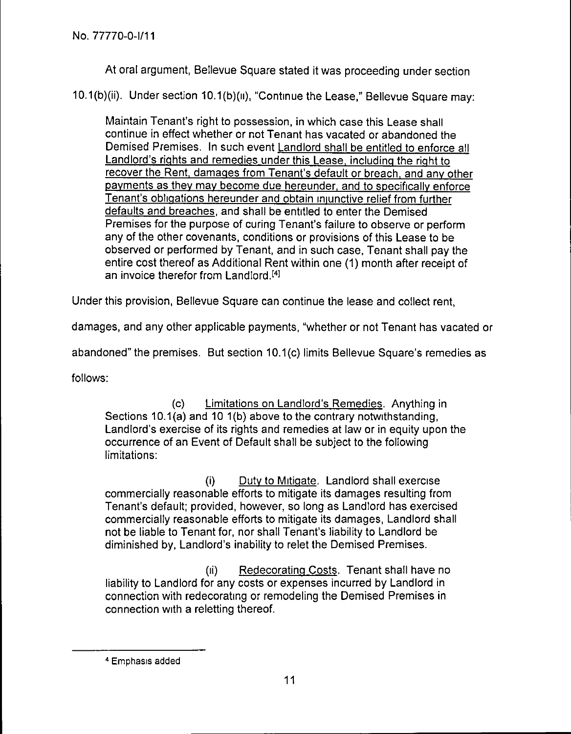At oral argument, Bellevue Square stated it was proceeding under section

10.1(b)(ii). Under section 10.1(b)(10, "Continue the Lease," Bellevue Square may:

Maintain Tenant's right to possession, in which case this Lease shall continue in effect whether or not Tenant has vacated or abandoned the Demised Premises. In such event Landlord shall be entitled to enforce all Landlord's rights and remedies under this Lease, including the right to recover the Rent, damages from Tenant's default or breach, and any other payments as they may become due hereunder, and to specifically enforce Tenant's obligations hereunder and obtain iniunctive relief from further defaults and breaches, and shall be entitled to enter the Demised Premises for the purpose of curing Tenant's failure to observe or perform any of the other covenants, conditions or provisions of this Lease to be observed or performed by Tenant, and in such case, Tenant shall pay the entire cost thereof as Additional Rent within one (1) month after receipt of an invoice therefor from Landlord.<sup>[4]</sup>

Under this provision, Bellevue Square can continue the lease and collect rent,

damages, and any other applicable payments, "whether or not Tenant has vacated or

abandoned" the premises. But section 10.1(c) limits Bellevue Square's remedies as

follows:

(c) Limitations on Landlord's Remedies. Anything in Sections 10.1(a) and 10 1(b) above to the contrary notwithstanding, Landlord's exercise of its rights and remedies at law or in equity upon the occurrence of an Event of Default shall be subject to the following limitations:

(i) Duty to Mitigate. Landlord shall exercise commercially reasonable efforts to mitigate its damages resulting from Tenant's default; provided, however, so long as Landlord has exercised commercially reasonable efforts to mitigate its damages, Landlord shall not be liable to Tenant for, nor shall Tenant's liability to Landlord be diminished by, Landlord's inability to relet the Demised Premises.

(ii) Redecorating Costs. Tenant shall have no liability to Landlord for any costs or expenses incurred by Landlord in connection with redecorating or remodeling the Demised Premises in connection with a reletting thereof.

<sup>4</sup> Emphasis added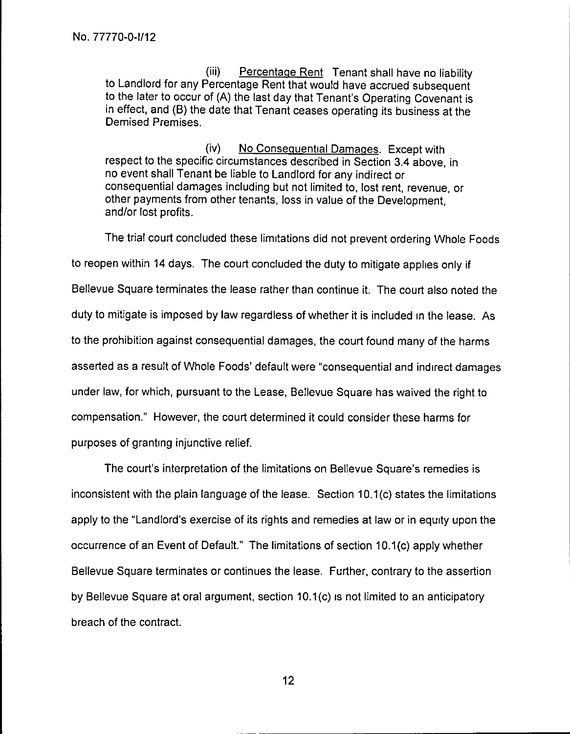(iii) Percentaqe Rent Tenant shall have no liability to Landlord for any Percentage Rent that would have accrued subsequent to the later to occur of (A) the last day that Tenant's Operating Covenant is in effect, and (B) the date that Tenant ceases operating its business at the Demised Premises.

(iv) No Consequential Damages. Except with respect to the specific circumstances described in Section 3.4 above, in no event shall Tenant be liable to Landlord for any indirect or consequential damages including but not limited to, lost rent, revenue, or other payments from other tenants, loss in value of the Development, and/or lost profits.

The trial court concluded these limitations did not prevent ordering Whole Foods to reopen within 14 days. The court concluded the duty to mitigate applies only if Bellevue Square terminates the lease rather than continue it. The court also noted the duty to mitigate is imposed by law regardless of whether it is included in the lease. As to the prohibition against consequential damages, the court found many of the harms asserted as a result of Whole Foods' default were "consequential and indirect damages under law, for which, pursuant to the Lease, Bellevue Square has waived the right to compensation." However, the court determined it could consider these harms for purposes of granting injunctive relief.

The court's interpretation of the limitations on Bellevue Square's remedies is inconsistent with the plain language of the lease. Section 10.1(c) states the limitations apply to the "Landlord's exercise of its rights and remedies at law or in equity upon the occurrence of an Event of Default." The limitations of section 10.1(c) apply whether Bellevue Square terminates or continues the lease. Further, contrary to the assertion by Bellevue Square at oral argument, section 10.1(c) is not limited to an anticipatory breach of the contract.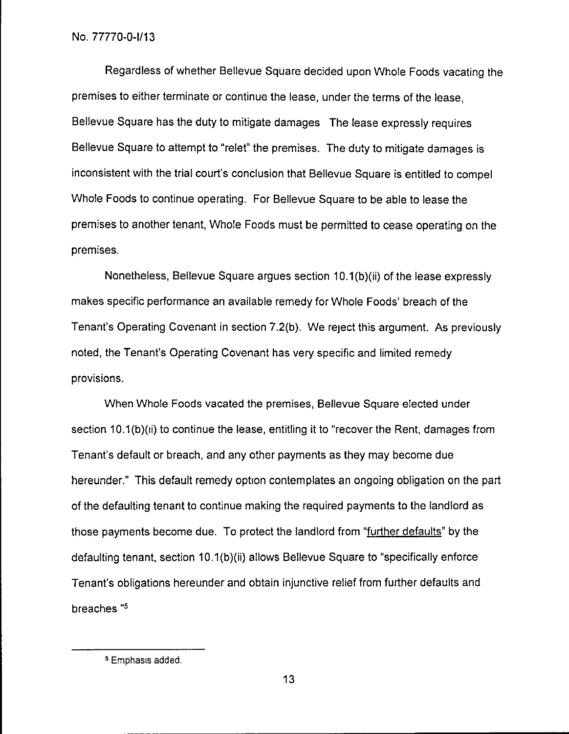Regardless of whether Bellevue Square decided upon Whole Foods vacating the premises to either terminate or continue the lease, under the terms of the lease, Bellevue Square has the duty to mitigate damages The lease expressly requires Bellevue Square to attempt to "relet" the premises. The duty to mitigate damages is inconsistent with the trial court's conclusion that Bellevue Square is entitled to compel Whole Foods to continue operating. For Bellevue Square to be able to lease the premises to another tenant, Whole Foods must be permitted to cease operating on the premises.

Nonetheless, Bellevue Square argues section 10.1(b)(ii) of the lease expressly makes specific performance an available remedy for Whole Foods' breach of the Tenant's Operating Covenant in section 7.2(b). We reject this argument. As previously noted, the Tenant's Operating Covenant has very specific and limited remedy provisions.

When Whole Foods vacated the premises, Bellevue Square elected under section 10.1(b)(ii) to continue the lease, entitling it to "recover the Rent, damages from Tenant's default or breach, and any other payments as they may become due hereunder." This default remedy option contemplates an ongoing obligation on the part of the defaulting tenant to continue making the required payments to the landlord as those payments become due. To protect the landlord from "further defaults" by the defaulting tenant, section 10.1(b)(ii) allows Bellevue Square to "specifically enforce Tenant's obligations hereunder and obtain injunctive relief from further defaults and breaches "5

<sup>5</sup> Emphasis added.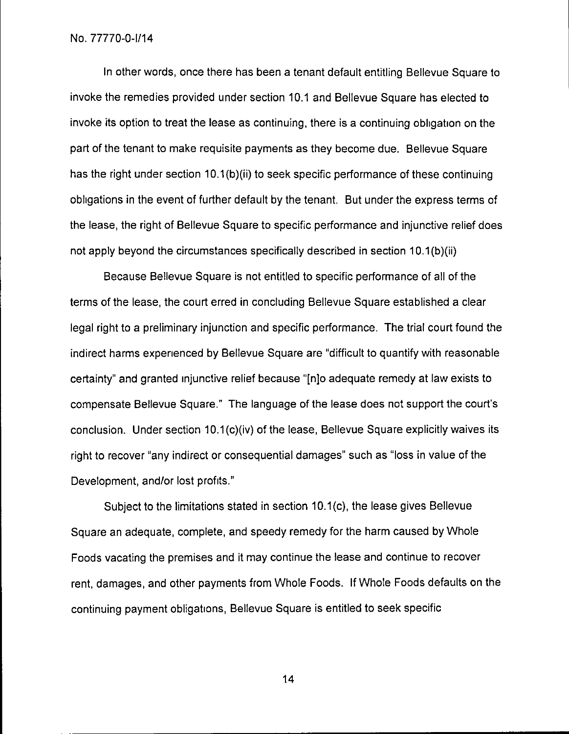In other words, once there has been a tenant default entitling Bellevue Square to invoke the remedies provided under section 10.1 and Bellevue Square has elected to invoke its option to treat the lease as continuing, there is a continuing obligation on the part of the tenant to make requisite payments as they become due. Bellevue Square has the right under section 10.1(b)(ii) to seek specific performance of these continuing obligations in the event of further default by the tenant. But under the express terms of the lease, the right of Bellevue Square to specific performance and injunctive relief does not apply beyond the circumstances specifically described in section 10.1(b)(ii)

Because Bellevue Square is not entitled to specific performance of all of the terms of the lease, the court erred in concluding Bellevue Square established a clear legal right to a preliminary injunction and specific performance. The trial court found the indirect harms experienced by Bellevue Square are "difficult to quantify with reasonable certainty" and granted injunctive relief because "[n]o adequate remedy at law exists to compensate Bellevue Square." The language of the lease does not support the court's conclusion. Under section 10.1(c)(iv) of the lease, Bellevue Square explicitly waives its right to recover "any indirect or consequential damages" such as "loss in value of the Development, and/or lost profits."

Subject to the limitations stated in section 10.1(c), the lease gives Bellevue Square an adequate, complete, and speedy remedy for the harm caused by Whole Foods vacating the premises and it may continue the lease and continue to recover rent, damages, and other payments from Whole Foods. If Whole Foods defaults on the continuing payment obligations, Bellevue Square is entitled to seek specific